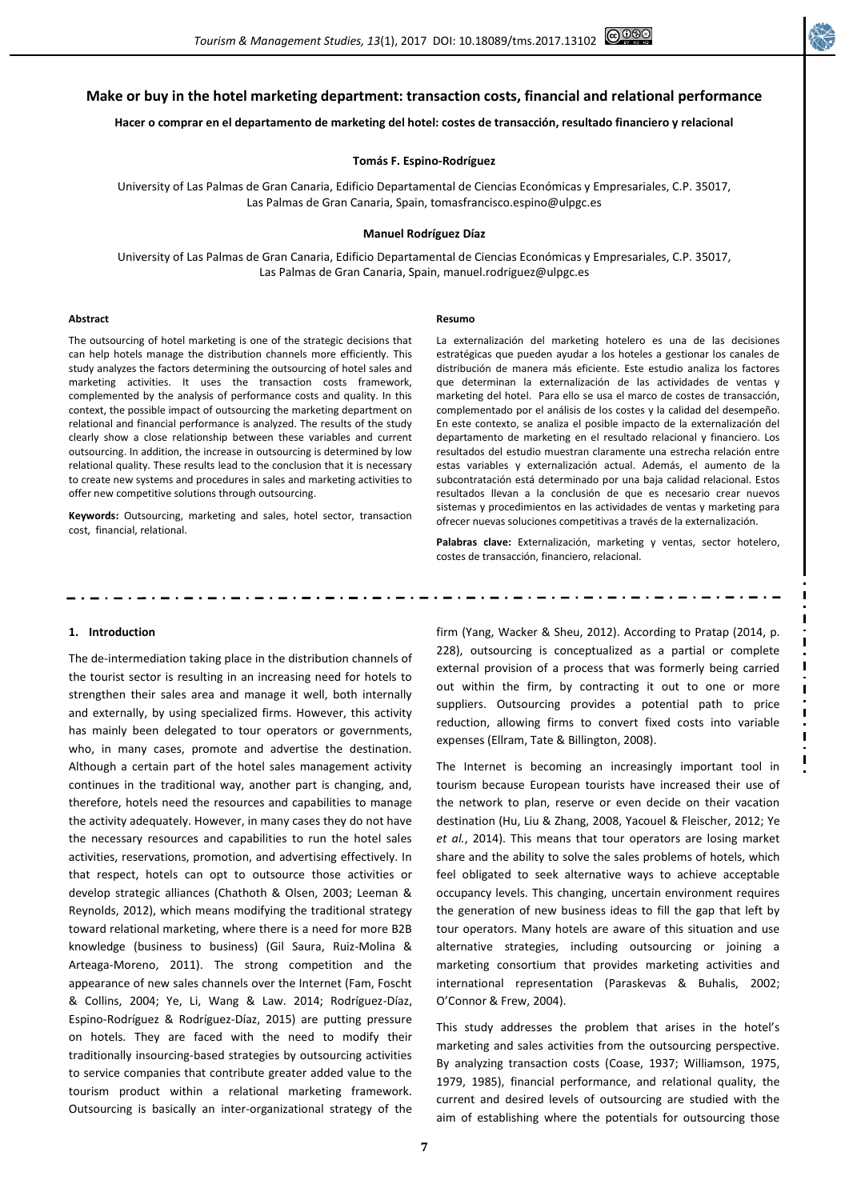# **Make or buy in the hotel marketing department: transaction costs, financial and relational performance**

## **Hacer o comprar en el departamento de marketing del hotel: costes de transacción, resultado financiero y relacional**

### **Tomás F. Espino-Rodríguez**

University of Las Palmas de Gran Canaria, Edificio Departamental de Ciencias Económicas y Empresariales, C.P. 35017, Las Palmas de Gran Canaria, Spain, tomasfrancisco.espino@ulpgc.es

#### **Manuel Rodríguez Díaz**

University of Las Palmas de Gran Canaria, Edificio Departamental de Ciencias Económicas y Empresariales, C.P. 35017, Las Palmas de Gran Canaria, Spain, manuel.rodriguez@ulpgc.es

#### **Abstract**

#### **Resumo**

The outsourcing of hotel marketing is one of the strategic decisions that can help hotels manage the distribution channels more efficiently. This study analyzes the factors determining the outsourcing of hotel sales and marketing activities. It uses the transaction costs framework, complemented by the analysis of performance costs and quality. In this context, the possible impact of outsourcing the marketing department on relational and financial performance is analyzed. The results of the study clearly show a close relationship between these variables and current outsourcing. In addition, the increase in outsourcing is determined by low relational quality. These results lead to the conclusion that it is necessary to create new systems and procedures in sales and marketing activities to offer new competitive solutions through outsourcing.

**Keywords:** Outsourcing, marketing and sales, hotel sector, transaction cost, financial, relational.

La externalización del marketing hotelero es una de las decisiones estratégicas que pueden ayudar a los hoteles a gestionar los canales de distribución de manera más eficiente. Este estudio analiza los factores que determinan la externalización de las actividades de ventas y marketing del hotel. Para ello se usa el marco de costes de transacción, complementado por el análisis de los costes y la calidad del desempeño. En este contexto, se analiza el posible impacto de la externalización del departamento de marketing en el resultado relacional y financiero. Los resultados del estudio muestran claramente una estrecha relación entre estas variables y externalización actual. Además, el aumento de la subcontratación está determinado por una baja calidad relacional. Estos resultados llevan a la conclusión de que es necesario crear nuevos sistemas y procedimientos en las actividades de ventas y marketing para ofrecer nuevas soluciones competitivas a través de la externalización.

**Palabras clave:** Externalización, marketing y ventas, sector hotelero, costes de transacción, financiero, relacional.

### **1. Introduction**

The de-intermediation taking place in the distribution channels of the tourist sector is resulting in an increasing need for hotels to strengthen their sales area and manage it well, both internally and externally, by using specialized firms. However, this activity has mainly been delegated to tour operators or governments, who, in many cases, promote and advertise the destination. Although a certain part of the hotel sales management activity continues in the traditional way, another part is changing, and, therefore, hotels need the resources and capabilities to manage the activity adequately. However, in many cases they do not have the necessary resources and capabilities to run the hotel sales activities, reservations, promotion, and advertising effectively. In that respect, hotels can opt to outsource those activities or develop strategic alliances (Chathoth & Olsen, 2003; Leeman & Reynolds, 2012), which means modifying the traditional strategy toward relational marketing, where there is a need for more B2B knowledge (business to business) (Gil Saura, Ruiz-Molina & Arteaga-Moreno, 2011). The strong competition and the appearance of new sales channels over the Internet (Fam, Foscht & Collins, 2004; Ye, Li, Wang & Law. 2014; Rodríguez-Díaz, Espino-Rodríguez & Rodríguez-Díaz, 2015) are putting pressure on hotels. They are faced with the need to modify their traditionally insourcing-based strategies by outsourcing activities to service companies that contribute greater added value to the tourism product within a relational marketing framework. Outsourcing is basically an inter-organizational strategy of the

firm (Yang, Wacker & Sheu, 2012). According to Pratap (2014, p. 228), outsourcing is conceptualized as a partial or complete external provision of a process that was formerly being carried out within the firm, by contracting it out to one or more suppliers. Outsourcing provides a potential path to price reduction, allowing firms to convert fixed costs into variable expenses (Ellram, Tate & Billington, 2008).

The Internet is becoming an increasingly important tool in tourism because European tourists have increased their use of the network to plan, reserve or even decide on their vacation destination (Hu, Liu & Zhang, 2008, Yacouel & Fleischer, 2012; Ye *et al.*, 2014). This means that tour operators are losing market share and the ability to solve the sales problems of hotels, which feel obligated to seek alternative ways to achieve acceptable occupancy levels. This changing, uncertain environment requires the generation of new business ideas to fill the gap that left by tour operators. Many hotels are aware of this situation and use alternative strategies, including outsourcing or joining a marketing consortium that provides marketing activities and international representation (Paraskevas & Buhalis, 2002; O'Connor & Frew, 2004).

This study addresses the problem that arises in the hotel's marketing and sales activities from the outsourcing perspective. By analyzing transaction costs (Coase, 1937; Williamson, 1975, 1979, 1985), financial performance, and relational quality, the current and desired levels of outsourcing are studied with the aim of establishing where the potentials for outsourcing those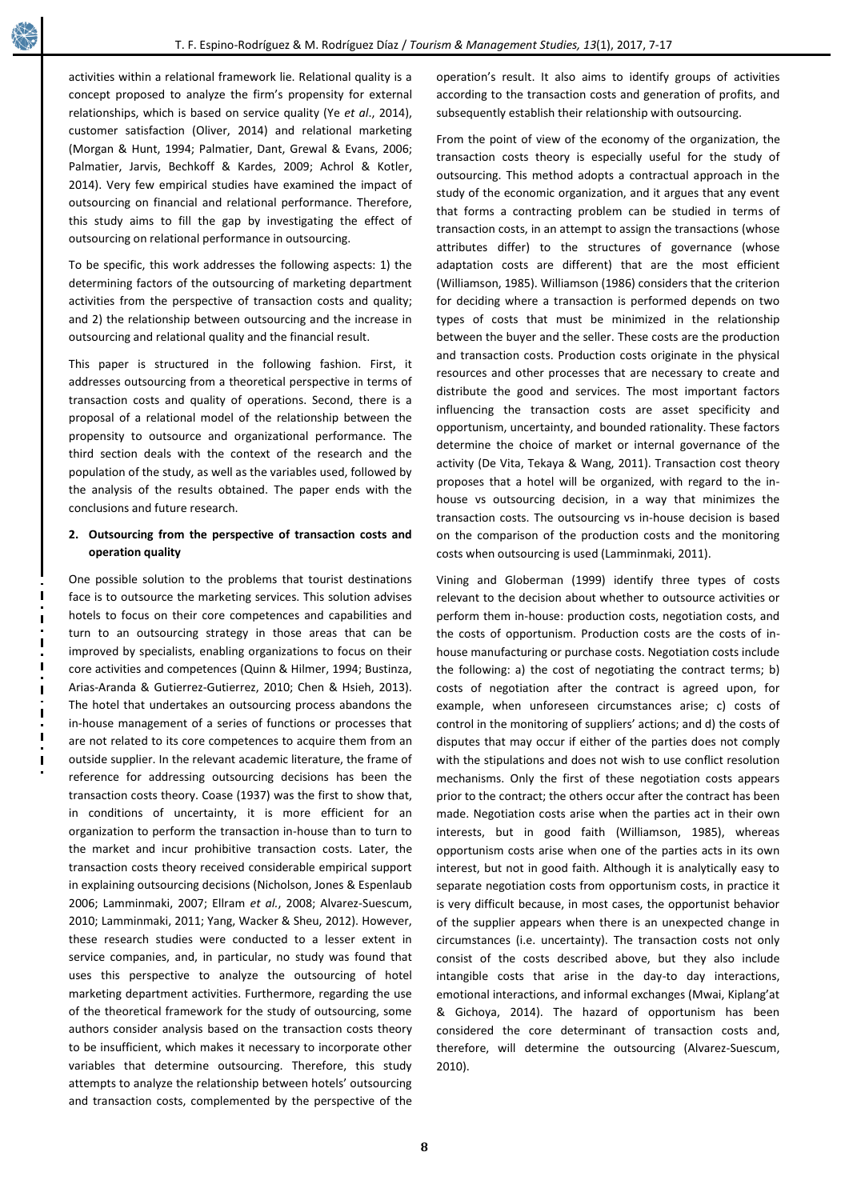activities within a relational framework lie. Relational quality is a concept proposed to analyze the firm's propensity for external relationships, which is based on service quality (Ye *et al*., 2014), customer satisfaction (Oliver, 2014) and relational marketing (Morgan & Hunt, 1994; Palmatier, Dant, Grewal & Evans, 2006; Palmatier, Jarvis, Bechkoff & Kardes, 2009; Achrol & Kotler, 2014). Very few empirical studies have examined the impact of outsourcing on financial and relational performance. Therefore, this study aims to fill the gap by investigating the effect of outsourcing on relational performance in outsourcing.

To be specific, this work addresses the following aspects: 1) the determining factors of the outsourcing of marketing department activities from the perspective of transaction costs and quality; and 2) the relationship between outsourcing and the increase in outsourcing and relational quality and the financial result.

This paper is structured in the following fashion. First, it addresses outsourcing from a theoretical perspective in terms of transaction costs and quality of operations. Second, there is a proposal of a relational model of the relationship between the propensity to outsource and organizational performance. The third section deals with the context of the research and the population of the study, as well as the variables used, followed by the analysis of the results obtained. The paper ends with the conclusions and future research.

# **2. Outsourcing from the perspective of transaction costs and operation quality**

One possible solution to the problems that tourist destinations face is to outsource the marketing services. This solution advises hotels to focus on their core competences and capabilities and turn to an outsourcing strategy in those areas that can be improved by specialists, enabling organizations to focus on their core activities and competences (Quinn & Hilmer, 1994; Bustinza, Arias-Aranda & Gutierrez-Gutierrez, 2010; Chen & Hsieh, 2013). The hotel that undertakes an outsourcing process abandons the in-house management of a series of functions or processes that are not related to its core competences to acquire them from an outside supplier. In the relevant academic literature, the frame of reference for addressing outsourcing decisions has been the transaction costs theory. Coase (1937) was the first to show that, in conditions of uncertainty, it is more efficient for an organization to perform the transaction in-house than to turn to the market and incur prohibitive transaction costs. Later, the transaction costs theory received considerable empirical support in explaining outsourcing decisions (Nicholson, Jones & Espenlaub 2006; Lamminmaki, 2007; Ellram *et al.*, 2008; Alvarez-Suescum, 2010; Lamminmaki, 2011; Yang, Wacker & Sheu, 2012). However, these research studies were conducted to a lesser extent in service companies, and, in particular, no study was found that uses this perspective to analyze the outsourcing of hotel marketing department activities. Furthermore, regarding the use of the theoretical framework for the study of outsourcing, some authors consider analysis based on the transaction costs theory to be insufficient, which makes it necessary to incorporate other variables that determine outsourcing. Therefore, this study attempts to analyze the relationship between hotels' outsourcing and transaction costs, complemented by the perspective of the

operation's result. It also aims to identify groups of activities according to the transaction costs and generation of profits, and subsequently establish their relationship with outsourcing.

From the point of view of the economy of the organization, the transaction costs theory is especially useful for the study of outsourcing. This method adopts a contractual approach in the study of the economic organization, and it argues that any event that forms a contracting problem can be studied in terms of transaction costs, in an attempt to assign the transactions (whose attributes differ) to the structures of governance (whose adaptation costs are different) that are the most efficient (Williamson, 1985). Williamson (1986) considers that the criterion for deciding where a transaction is performed depends on two types of costs that must be minimized in the relationship between the buyer and the seller. These costs are the production and transaction costs. Production costs originate in the physical resources and other processes that are necessary to create and distribute the good and services. The most important factors influencing the transaction costs are asset specificity and opportunism, uncertainty, and bounded rationality. These factors determine the choice of market or internal governance of the activity (De Vita, Tekaya & Wang, 2011). Transaction cost theory proposes that a hotel will be organized, with regard to the inhouse vs outsourcing decision, in a way that minimizes the transaction costs. The outsourcing vs in-house decision is based on the comparison of the production costs and the monitoring costs when outsourcing is used (Lamminmaki, 2011).

Vining and Globerman (1999) identify three types of costs relevant to the decision about whether to outsource activities or perform them in-house: production costs, negotiation costs, and the costs of opportunism. Production costs are the costs of inhouse manufacturing or purchase costs. Negotiation costs include the following: a) the cost of negotiating the contract terms; b) costs of negotiation after the contract is agreed upon, for example, when unforeseen circumstances arise; c) costs of control in the monitoring of suppliers' actions; and d) the costs of disputes that may occur if either of the parties does not comply with the stipulations and does not wish to use conflict resolution mechanisms. Only the first of these negotiation costs appears prior to the contract; the others occur after the contract has been made. Negotiation costs arise when the parties act in their own interests, but in good faith (Williamson, 1985), whereas opportunism costs arise when one of the parties acts in its own interest, but not in good faith. Although it is analytically easy to separate negotiation costs from opportunism costs, in practice it is very difficult because, in most cases, the opportunist behavior of the supplier appears when there is an unexpected change in circumstances (i.e. uncertainty). The transaction costs not only consist of the costs described above, but they also include intangible costs that arise in the day-to day interactions, emotional interactions, and informal exchanges (Mwai, Kiplang'at & Gichoya, 2014). The hazard of opportunism has been considered the core determinant of transaction costs and, therefore, will determine the outsourcing (Alvarez-Suescum, 2010).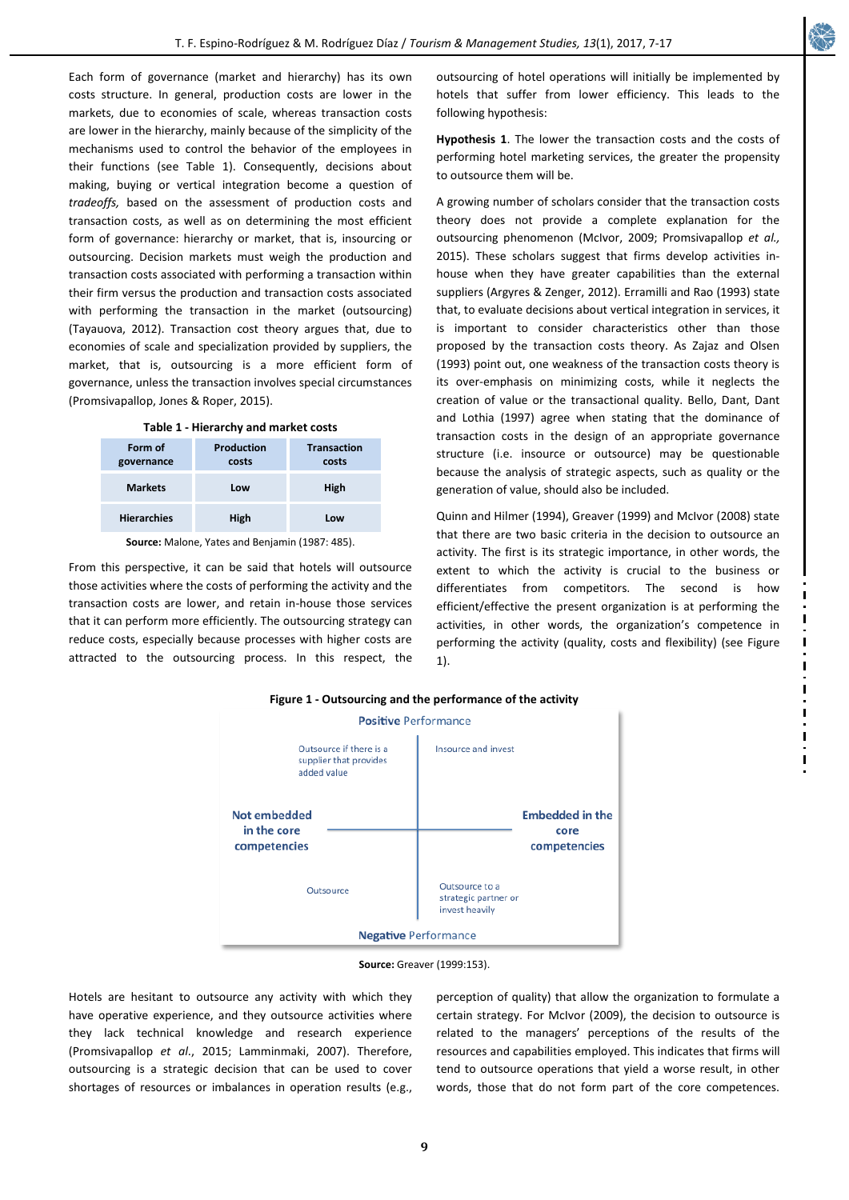Each form of governance (market and hierarchy) has its own costs structure. In general, production costs are lower in the markets, due to economies of scale, whereas transaction costs are lower in the hierarchy, mainly because of the simplicity of the mechanisms used to control the behavior of the employees in their functions (see Table 1). Consequently, decisions about making, buying or vertical integration become a question of *tradeoffs,* based on the assessment of production costs and transaction costs, as well as on determining the most efficient form of governance: hierarchy or market, that is, insourcing or outsourcing. Decision markets must weigh the production and transaction costs associated with performing a transaction within their firm versus the production and transaction costs associated with performing the transaction in the market (outsourcing) (Tayauova, 2012). Transaction cost theory argues that, due to economies of scale and specialization provided by suppliers, the market, that is, outsourcing is a more efficient form of governance, unless the transaction involves special circumstances (Promsivapallop, Jones & Roper, 2015).

| Table 1 - Hierarchy and market costs |                     |                             |  |
|--------------------------------------|---------------------|-----------------------------|--|
| Form of<br>governance                | Production<br>costs | <b>Transaction</b><br>costs |  |
| <b>Markets</b>                       | Low                 | High                        |  |
| <b>Hierarchies</b>                   | High                | Low                         |  |

**Source:** Malone, Yates and Benjamin (1987: 485).

From this perspective, it can be said that hotels will outsource those activities where the costs of performing the activity and the transaction costs are lower, and retain in-house those services that it can perform more efficiently. The outsourcing strategy can reduce costs, especially because processes with higher costs are attracted to the outsourcing process. In this respect, the outsourcing of hotel operations will initially be implemented by hotels that suffer from lower efficiency. This leads to the following hypothesis:

**Hypothesis 1**. The lower the transaction costs and the costs of performing hotel marketing services, the greater the propensity to outsource them will be.

A growing number of scholars consider that the transaction costs theory does not provide a complete explanation for the outsourcing phenomenon (McIvor, 2009; Promsivapallop *et al.,* 2015). These scholars suggest that firms develop activities inhouse when they have greater capabilities than the external suppliers (Argyres & Zenger, 2012). Erramilli and Rao (1993) state that, to evaluate decisions about vertical integration in services, it is important to consider characteristics other than those proposed by the transaction costs theory. As Zajaz and Olsen (1993) point out, one weakness of the transaction costs theory is its over-emphasis on minimizing costs, while it neglects the creation of value or the transactional quality. Bello, Dant, Dant and Lothia (1997) agree when stating that the dominance of transaction costs in the design of an appropriate governance structure (i.e. insource or outsource) may be questionable because the analysis of strategic aspects, such as quality or the generation of value, should also be included.

Quinn and Hilmer (1994), Greaver (1999) and McIvor (2008) state that there are two basic criteria in the decision to outsource an activity. The first is its strategic importance, in other words, the extent to which the activity is crucial to the business or differentiates from competitors. The second is how efficient/effective the present organization is at performing the activities, in other words, the organization's competence in performing the activity (quality, costs and flexibility) (see Figure 1).



**Source:** Greaver (1999:153).

Hotels are hesitant to outsource any activity with which they have operative experience, and they outsource activities where they lack technical knowledge and research experience (Promsivapallop *et al*., 2015; Lamminmaki, 2007). Therefore, outsourcing is a strategic decision that can be used to cover shortages of resources or imbalances in operation results (e.g.,

perception of quality) that allow the organization to formulate a certain strategy. For McIvor (2009), the decision to outsource is related to the managers' perceptions of the results of the resources and capabilities employed. This indicates that firms will tend to outsource operations that yield a worse result, in other words, those that do not form part of the core competences.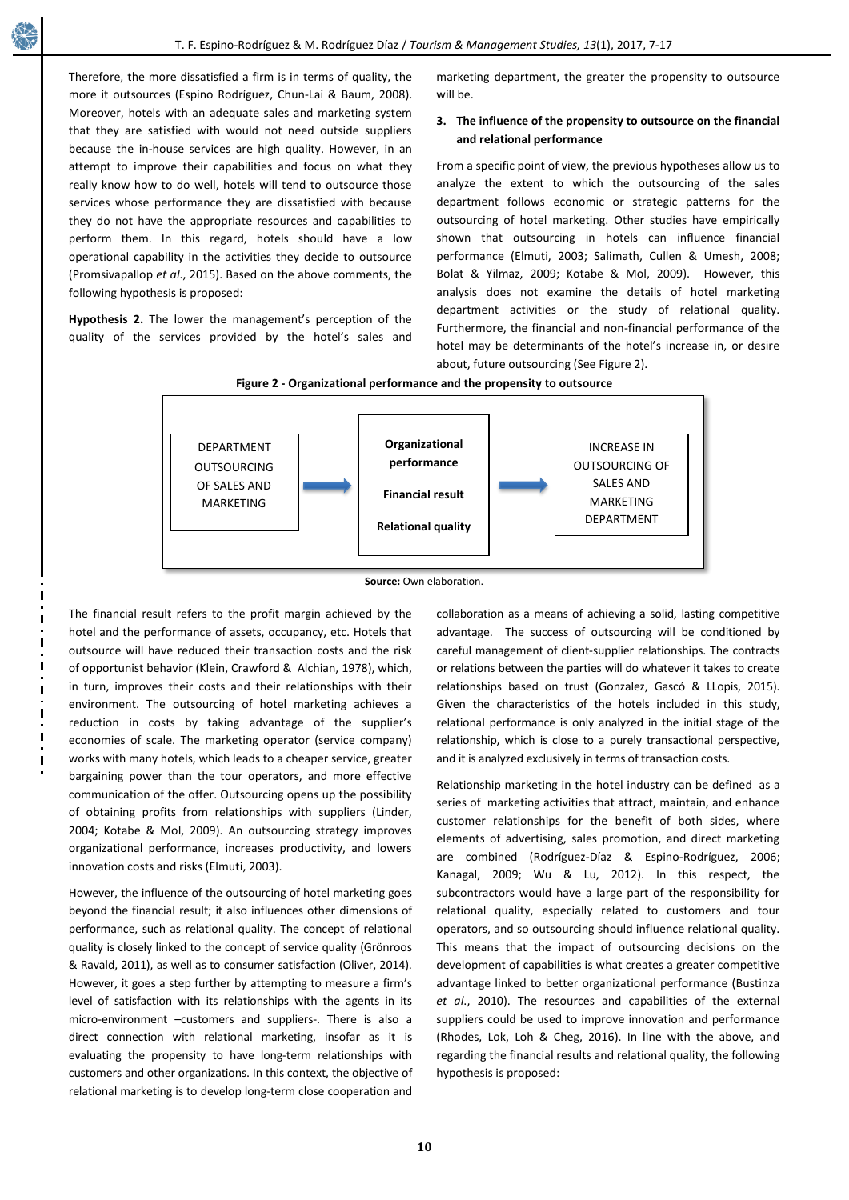Therefore, the more dissatisfied a firm is in terms of quality, the more it outsources (Espino Rodríguez, Chun-Lai & Baum, 2008). Moreover, hotels with an adequate sales and marketing system that they are satisfied with would not need outside suppliers because the in-house services are high quality. However, in an attempt to improve their capabilities and focus on what they really know how to do well, hotels will tend to outsource those services whose performance they are dissatisfied with because they do not have the appropriate resources and capabilities to perform them. In this regard, hotels should have a low operational capability in the activities they decide to outsource (Promsivapallop *et al*., 2015). Based on the above comments, the following hypothesis is proposed:

**Hypothesis 2.** The lower the management's perception of the quality of the services provided by the hotel's sales and marketing department, the greater the propensity to outsource will be.

# **3. The influence of the propensity to outsource on the financial and relational performance**

From a specific point of view, the previous hypotheses allow us to analyze the extent to which the outsourcing of the sales department follows economic or strategic patterns for the outsourcing of hotel marketing. Other studies have empirically shown that outsourcing in hotels can influence financial performance (Elmuti, 2003; Salimath, Cullen & Umesh, 2008; Bolat & Yilmaz, 2009; Kotabe & Mol, 2009). However, this analysis does not examine the details of hotel marketing department activities or the study of relational quality. Furthermore, the financial and non-financial performance of the hotel may be determinants of the hotel's increase in, or desire about, future outsourcing (See Figure 2).





The financial result refers to the profit margin achieved by the hotel and the performance of assets, occupancy, etc. Hotels that outsource will have reduced their transaction costs and the risk of opportunist behavior (Klein, Crawford & Alchian, 1978), which, in turn, improves their costs and their relationships with their environment. The outsourcing of hotel marketing achieves a reduction in costs by taking advantage of the supplier's economies of scale. The marketing operator (service company) works with many hotels, which leads to a cheaper service, greater bargaining power than the tour operators, and more effective communication of the offer. Outsourcing opens up the possibility of obtaining profits from relationships with suppliers (Linder, 2004; Kotabe & Mol, 2009). An outsourcing strategy improves organizational performance, increases productivity, and lowers innovation costs and risks (Elmuti, 2003).

However, the influence of the outsourcing of hotel marketing goes beyond the financial result; it also influences other dimensions of performance, such as relational quality. The concept of relational quality is closely linked to the concept of service quality (Grönroos & Ravald, 2011), as well as to consumer satisfaction (Oliver, 2014). However, it goes a step further by attempting to measure a firm's level of satisfaction with its relationships with the agents in its micro-environment –customers and suppliers-. There is also a direct connection with relational marketing, insofar as it is evaluating the propensity to have long-term relationships with customers and other organizations. In this context, the objective of relational marketing is to develop long-term close cooperation and

collaboration as a means of achieving a solid, lasting competitive advantage. The success of outsourcing will be conditioned by careful management of client-supplier relationships. The contracts or relations between the parties will do whatever it takes to create relationships based on trust (Gonzalez, Gascó & LLopis, 2015). Given the characteristics of the hotels included in this study, relational performance is only analyzed in the initial stage of the relationship, which is close to a purely transactional perspective, and it is analyzed exclusively in terms of transaction costs.

Relationship marketing in the hotel industry can be defined as a series of marketing activities that attract, maintain, and enhance customer relationships for the benefit of both sides, where elements of advertising, sales promotion, and direct marketing are combined (Rodríguez-Díaz & Espino-Rodríguez, 2006; Kanagal, 2009; Wu & Lu, 2012). In this respect, the subcontractors would have a large part of the responsibility for relational quality, especially related to customers and tour operators, and so outsourcing should influence relational quality. This means that the impact of outsourcing decisions on the development of capabilities is what creates a greater competitive advantage linked to better organizational performance (Bustinza *et al*., 2010). The resources and capabilities of the external suppliers could be used to improve innovation and performance (Rhodes, Lok, Loh & Cheg, 2016). In line with the above, and regarding the financial results and relational quality, the following hypothesis is proposed:

**Source:** Own elaboration.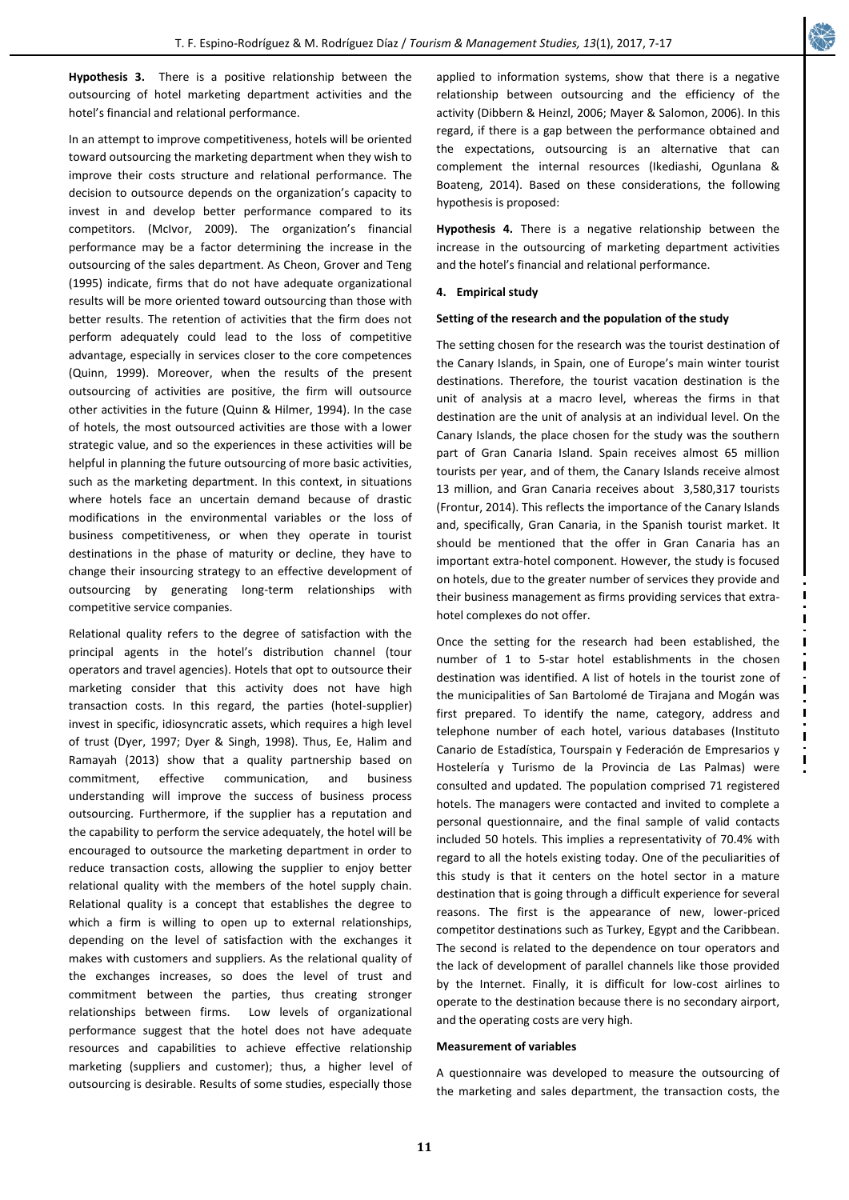**Hypothesis 3.** There is a positive relationship between the outsourcing of hotel marketing department activities and the hotel's financial and relational performance.

In an attempt to improve competitiveness, hotels will be oriented toward outsourcing the marketing department when they wish to improve their costs structure and relational performance. The decision to outsource depends on the organization's capacity to invest in and develop better performance compared to its competitors. (McIvor, 2009). The organization's financial performance may be a factor determining the increase in the outsourcing of the sales department. As Cheon, Grover and Teng (1995) indicate, firms that do not have adequate organizational results will be more oriented toward outsourcing than those with better results. The retention of activities that the firm does not perform adequately could lead to the loss of competitive advantage, especially in services closer to the core competences (Quinn, 1999). Moreover, when the results of the present outsourcing of activities are positive, the firm will outsource other activities in the future (Quinn & Hilmer, 1994). In the case of hotels, the most outsourced activities are those with a lower strategic value, and so the experiences in these activities will be helpful in planning the future outsourcing of more basic activities, such as the marketing department. In this context, in situations where hotels face an uncertain demand because of drastic modifications in the environmental variables or the loss of business competitiveness, or when they operate in tourist destinations in the phase of maturity or decline, they have to change their insourcing strategy to an effective development of outsourcing by generating long-term relationships with competitive service companies.

Relational quality refers to the degree of satisfaction with the principal agents in the hotel's distribution channel (tour operators and travel agencies). Hotels that opt to outsource their marketing consider that this activity does not have high transaction costs. In this regard, the parties (hotel-supplier) invest in specific, idiosyncratic assets, which requires a high level of trust (Dyer, 1997; Dyer & Singh, 1998). Thus, Ee, Halim and Ramayah (2013) show that a quality partnership based on commitment, effective communication, and business understanding will improve the success of business process outsourcing. Furthermore, if the supplier has a reputation and the capability to perform the service adequately, the hotel will be encouraged to outsource the marketing department in order to reduce transaction costs, allowing the supplier to enjoy better relational quality with the members of the hotel supply chain. Relational quality is a concept that establishes the degree to which a firm is willing to open up to external relationships, depending on the level of satisfaction with the exchanges it makes with customers and suppliers. As the relational quality of the exchanges increases, so does the level of trust and commitment between the parties, thus creating stronger relationships between firms. Low levels of organizational performance suggest that the hotel does not have adequate resources and capabilities to achieve effective relationship marketing (suppliers and customer); thus, a higher level of outsourcing is desirable. Results of some studies, especially those applied to information systems, show that there is a negative relationship between outsourcing and the efficiency of the activity (Dibbern & Heinzl, 2006; Mayer & Salomon, 2006). In this regard, if there is a gap between the performance obtained and the expectations, outsourcing is an alternative that can complement the internal resources (Ikediashi, Ogunlana & Boateng, 2014). Based on these considerations, the following hypothesis is proposed:

**Hypothesis 4.** There is a negative relationship between the increase in the outsourcing of marketing department activities and the hotel's financial and relational performance.

## **4. Empirical study**

# **Setting of the research and the population of the study**

The setting chosen for the research was the tourist destination of the Canary Islands, in Spain, one of Europe's main winter tourist destinations. Therefore, the tourist vacation destination is the unit of analysis at a macro level, whereas the firms in that destination are the unit of analysis at an individual level. On the Canary Islands, the place chosen for the study was the southern part of Gran Canaria Island. Spain receives almost 65 million tourists per year, and of them, the Canary Islands receive almost 13 million, and Gran Canaria receives about 3,580,317 tourists (Frontur, 2014). This reflects the importance of the Canary Islands and, specifically, Gran Canaria, in the Spanish tourist market. It should be mentioned that the offer in Gran Canaria has an important extra-hotel component. However, the study is focused on hotels, due to the greater number of services they provide and their business management as firms providing services that extrahotel complexes do not offer.

Once the setting for the research had been established, the number of 1 to 5-star hotel establishments in the chosen destination was identified. A list of hotels in the tourist zone of the municipalities of San Bartolomé de Tirajana and Mogán was first prepared. To identify the name, category, address and telephone number of each hotel, various databases (Instituto Canario de Estadística, Tourspain y Federación de Empresarios y Hostelería y Turismo de la Provincia de Las Palmas) were consulted and updated. The population comprised 71 registered hotels. The managers were contacted and invited to complete a personal questionnaire, and the final sample of valid contacts included 50 hotels. This implies a representativity of 70.4% with regard to all the hotels existing today. One of the peculiarities of this study is that it centers on the hotel sector in a mature destination that is going through a difficult experience for several reasons. The first is the appearance of new, lower-priced competitor destinations such as Turkey, Egypt and the Caribbean. The second is related to the dependence on tour operators and the lack of development of parallel channels like those provided by the Internet. Finally, it is difficult for low-cost airlines to operate to the destination because there is no secondary airport, and the operating costs are very high.

### **Measurement of variables**

A questionnaire was developed to measure the outsourcing of the marketing and sales department, the transaction costs, the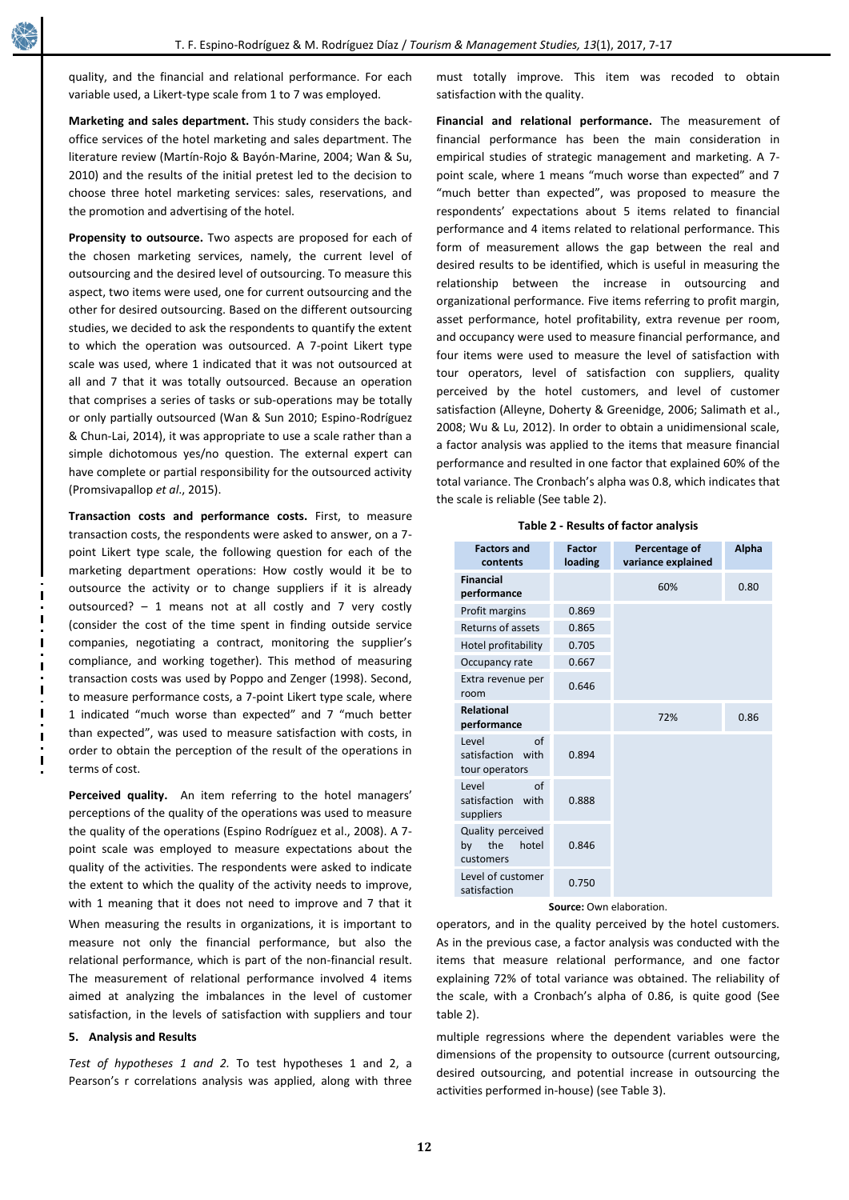quality, and the financial and relational performance. For each variable used, a Likert-type scale from 1 to 7 was employed.

**Marketing and sales department.** This study considers the backoffice services of the hotel marketing and sales department. The literature review (Martín-Rojo & Bayón-Marine, 2004; Wan & Su, 2010) and the results of the initial pretest led to the decision to choose three hotel marketing services: sales, reservations, and the promotion and advertising of the hotel.

**Propensity to outsource.** Two aspects are proposed for each of the chosen marketing services, namely, the current level of outsourcing and the desired level of outsourcing. To measure this aspect, two items were used, one for current outsourcing and the other for desired outsourcing. Based on the different outsourcing studies, we decided to ask the respondents to quantify the extent to which the operation was outsourced. A 7-point Likert type scale was used, where 1 indicated that it was not outsourced at all and 7 that it was totally outsourced. Because an operation that comprises a series of tasks or sub-operations may be totally or only partially outsourced (Wan & Sun 2010; Espino-Rodríguez & Chun-Lai, 2014), it was appropriate to use a scale rather than a simple dichotomous yes/no question. The external expert can have complete or partial responsibility for the outsourced activity (Promsivapallop *et al*., 2015).

**Transaction costs and performance costs.** First, to measure transaction costs, the respondents were asked to answer, on a 7 point Likert type scale, the following question for each of the marketing department operations: How costly would it be to outsource the activity or to change suppliers if it is already outsourced? – 1 means not at all costly and 7 very costly (consider the cost of the time spent in finding outside service companies, negotiating a contract, monitoring the supplier's compliance, and working together). This method of measuring transaction costs was used by Poppo and Zenger (1998). Second, to measure performance costs, a 7-point Likert type scale, where 1 indicated "much worse than expected" and 7 "much better than expected", was used to measure satisfaction with costs, in order to obtain the perception of the result of the operations in terms of cost.

**Perceived quality.**An item referring to the hotel managers' perceptions of the quality of the operations was used to measure the quality of the operations (Espino Rodríguez et al., 2008). A 7 point scale was employed to measure expectations about the quality of the activities. The respondents were asked to indicate the extent to which the quality of the activity needs to improve, with 1 meaning that it does not need to improve and 7 that it When measuring the results in organizations, it is important to measure not only the financial performance, but also the relational performance, which is part of the non-financial result. The measurement of relational performance involved 4 items aimed at analyzing the imbalances in the level of customer satisfaction, in the levels of satisfaction with suppliers and tour

# **5. Analysis and Results**

*Test of hypotheses 1 and 2.* To test hypotheses 1 and 2, a Pearson's r correlations analysis was applied, along with three

must totally improve. This item was recoded to obtain satisfaction with the quality.

**Financial and relational performance.** The measurement of financial performance has been the main consideration in empirical studies of strategic management and marketing. A 7 point scale, where 1 means "much worse than expected" and 7 "much better than expected", was proposed to measure the respondents' expectations about 5 items related to financial performance and 4 items related to relational performance. This form of measurement allows the gap between the real and desired results to be identified, which is useful in measuring the relationship between the increase in outsourcing and organizational performance. Five items referring to profit margin, asset performance, hotel profitability, extra revenue per room, and occupancy were used to measure financial performance, and four items were used to measure the level of satisfaction with tour operators, level of satisfaction con suppliers, quality perceived by the hotel customers, and level of customer satisfaction (Alleyne, Doherty & Greenidge, 2006; Salimath et al., 2008; Wu & Lu, 2012). In order to obtain a unidimensional scale, a factor analysis was applied to the items that measure financial performance and resulted in one factor that explained 60% of the total variance. The Cronbach's alpha was 0.8, which indicates that the scale is reliable (See table 2).

|  |  |  |  |  | Table 2 - Results of factor analysis |
|--|--|--|--|--|--------------------------------------|
|--|--|--|--|--|--------------------------------------|

| <b>Factors and</b><br>contents                             | <b>Factor</b><br>loading | Percentage of<br>variance explained | <b>Alpha</b> |
|------------------------------------------------------------|--------------------------|-------------------------------------|--------------|
| <b>Financial</b><br>performance                            |                          | 60%                                 | 0.80         |
| Profit margins                                             | 0.869                    |                                     |              |
| Returns of assets                                          | 0.865                    |                                     |              |
| Hotel profitability                                        | 0.705                    |                                     |              |
| Occupancy rate                                             | 0.667                    |                                     |              |
| Extra revenue per<br>room                                  | 0.646                    |                                     |              |
| <b>Relational</b><br>performance                           |                          | 72%                                 | 0.86         |
| Level<br>$\alpha$ f<br>satisfaction with<br>tour operators | 0.894                    |                                     |              |
| Level<br>$\alpha$ f<br>satisfaction with<br>suppliers      | 0.888                    |                                     |              |
| Quality perceived<br>the<br>hotel<br>by<br>customers       | 0.846                    |                                     |              |
| Level of customer<br>satisfaction                          | 0.750                    |                                     |              |

**Source:** Own elaboration.

operators, and in the quality perceived by the hotel customers. As in the previous case, a factor analysis was conducted with the items that measure relational performance, and one factor explaining 72% of total variance was obtained. The reliability of the scale, with a Cronbach's alpha of 0.86, is quite good (See table 2).

multiple regressions where the dependent variables were the dimensions of the propensity to outsource (current outsourcing, desired outsourcing, and potential increase in outsourcing the activities performed in-house) (see Table 3).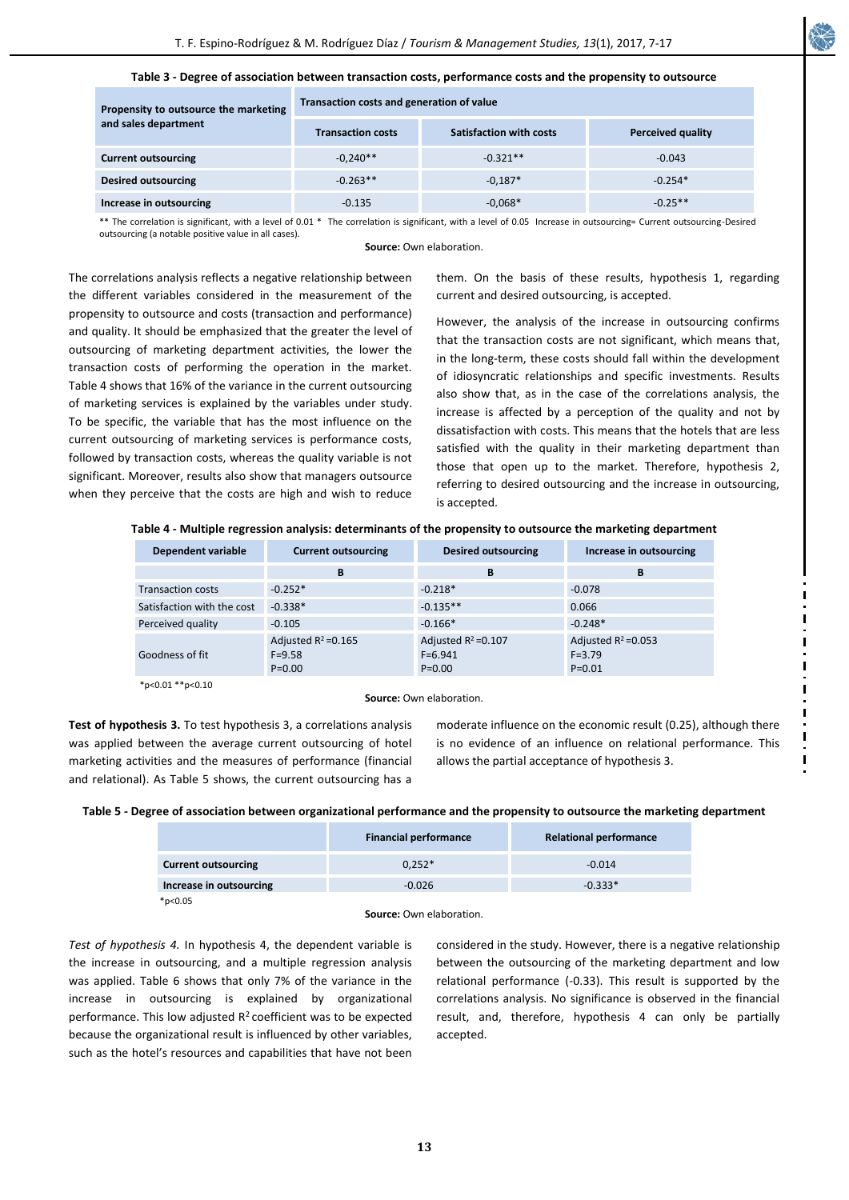

#### **Table 3 - Degree of association between transaction costs, performance costs and the propensity to outsource**

| Propensity to outsource the marketing<br>and sales department | Transaction costs and generation of value |                                |                          |  |
|---------------------------------------------------------------|-------------------------------------------|--------------------------------|--------------------------|--|
|                                                               | <b>Transaction costs</b>                  | <b>Satisfaction with costs</b> | <b>Perceived quality</b> |  |
| <b>Current outsourcing</b>                                    | $-0.240**$                                | $-0.321**$                     | $-0.043$                 |  |
| <b>Desired outsourcing</b>                                    | $-0.263**$                                | $-0.187*$                      | $-0.254*$                |  |
| Increase in outsourcing                                       | $-0.135$                                  | $-0.068*$                      | $-0.25**$                |  |

\*\* The correlation is significant, with a level of 0.01 \* The correlation is significant, with a level of 0.05 Increase in outsourcing= Current outsourcing-Desired outsourcing (a notable positive value in all cases).

**Source:** Own elaboration.

The correlations analysis reflects a negative relationship between the different variables considered in the measurement of the propensity to outsource and costs (transaction and performance) and quality. It should be emphasized that the greater the level of outsourcing of marketing department activities, the lower the transaction costs of performing the operation in the market. Table 4 shows that 16% of the variance in the current outsourcing of marketing services is explained by the variables under study. To be specific, the variable that has the most influence on the current outsourcing of marketing services is performance costs, followed by transaction costs, whereas the quality variable is not significant. Moreover, results also show that managers outsource when they perceive that the costs are high and wish to reduce

them. On the basis of these results, hypothesis 1, regarding current and desired outsourcing, is accepted.

However, the analysis of the increase in outsourcing confirms that the transaction costs are not significant, which means that, in the long-term, these costs should fall within the development of idiosyncratic relationships and specific investments. Results also show that, as in the case of the correlations analysis, the increase is affected by a perception of the quality and not by dissatisfaction with costs. This means that the hotels that are less satisfied with the quality in their marketing department than those that open up to the market. Therefore, hypothesis 2, referring to desired outsourcing and the increase in outsourcing, is accepted.

**Table 4 - Multiple regression analysis: determinants of the propensity to outsource the marketing department**

| Dependent variable         | <b>Current outsourcing</b>                         | <b>Desired outsourcing</b>                        | Increase in outsourcing                            |
|----------------------------|----------------------------------------------------|---------------------------------------------------|----------------------------------------------------|
|                            | B                                                  | B                                                 | в                                                  |
| <b>Transaction costs</b>   | $-0.252*$                                          | $-0.218*$                                         | $-0.078$                                           |
| Satisfaction with the cost | $-0.338*$                                          | $-0.135**$                                        | 0.066                                              |
| Perceived quality          | $-0.105$                                           | $-0.166*$                                         | $-0.248*$                                          |
| Goodness of fit            | Adjusted $R^2 = 0.165$<br>$F = 9.58$<br>$P = 0.00$ | Adjusted $R^2 = 0.107$<br>$F=6.941$<br>$P = 0.00$ | Adjusted $R^2 = 0.053$<br>$F = 3.79$<br>$P = 0.01$ |

 $*p<0.01**p<0.10$ 

\*p<0.05

**Source:** Own elaboration.

**Test of hypothesis 3.** To test hypothesis 3, a correlations analysis was applied between the average current outsourcing of hotel marketing activities and the measures of performance (financial and relational). As Table 5 shows, the current outsourcing has a

moderate influence on the economic result (0.25), although there is no evidence of an influence on relational performance. This allows the partial acceptance of hypothesis 3.

| Table 5 - Degree of association between organizational performance and the propensity to outsource the marketing department |  |  |  |
|-----------------------------------------------------------------------------------------------------------------------------|--|--|--|
|-----------------------------------------------------------------------------------------------------------------------------|--|--|--|

|                            | <b>Financial performance</b> | <b>Relational performance</b> |
|----------------------------|------------------------------|-------------------------------|
| <b>Current outsourcing</b> | $0.252*$                     | $-0.014$                      |
| Increase in outsourcing    | $-0.026$                     | $-0.333*$                     |

**Source:** Own elaboration.

*Test of hypothesis 4.* In hypothesis 4, the dependent variable is the increase in outsourcing, and a multiple regression analysis was applied. Table 6 shows that only 7% of the variance in the increase in outsourcing is explained by organizational performance. This low adjusted  $R^2$  coefficient was to be expected because the organizational result is influenced by other variables, such as the hotel's resources and capabilities that have not been

considered in the study. However, there is a negative relationship between the outsourcing of the marketing department and low relational performance (-0.33). This result is supported by the correlations analysis. No significance is observed in the financial result, and, therefore, hypothesis 4 can only be partially accepted.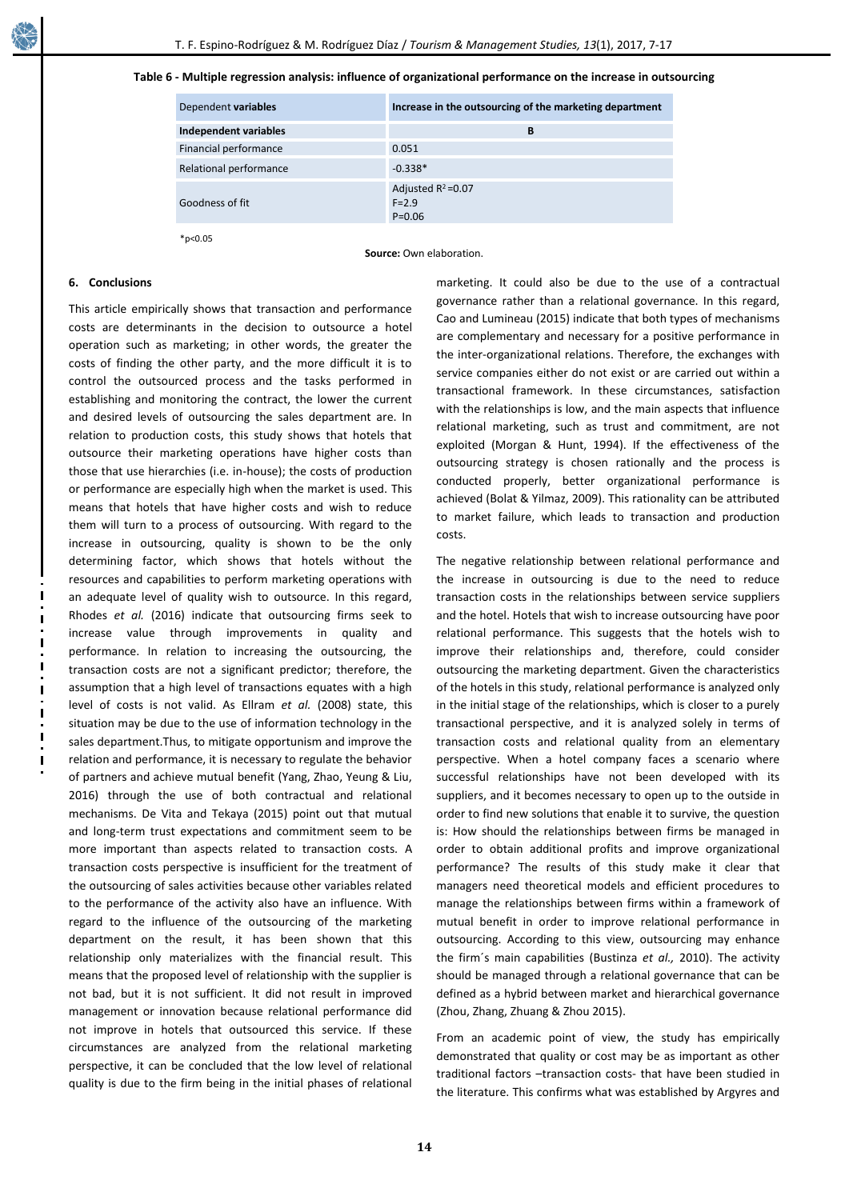### **Table 6 - Multiple regression analysis: influence of organizational performance on the increase in outsourcing**

| Dependent variables    | Increase in the outsourcing of the marketing department |
|------------------------|---------------------------------------------------------|
| Independent variables  | в                                                       |
| Financial performance  | 0.051                                                   |
| Relational performance | $-0.338*$                                               |
| Goodness of fit        | Adjusted $R^2 = 0.07$<br>$F = 2.9$<br>$P=0.06$          |

\*p<0.05

**Source:** Own elaboration.

#### **6. Conclusions**

This article empirically shows that transaction and performance costs are determinants in the decision to outsource a hotel operation such as marketing; in other words, the greater the costs of finding the other party, and the more difficult it is to control the outsourced process and the tasks performed in establishing and monitoring the contract, the lower the current and desired levels of outsourcing the sales department are. In relation to production costs, this study shows that hotels that outsource their marketing operations have higher costs than those that use hierarchies (i.e. in-house); the costs of production or performance are especially high when the market is used. This means that hotels that have higher costs and wish to reduce them will turn to a process of outsourcing. With regard to the increase in outsourcing, quality is shown to be the only determining factor, which shows that hotels without the resources and capabilities to perform marketing operations with an adequate level of quality wish to outsource. In this regard, Rhodes *et al.* (2016) indicate that outsourcing firms seek to increase value through improvements in quality and performance. In relation to increasing the outsourcing, the transaction costs are not a significant predictor; therefore, the assumption that a high level of transactions equates with a high level of costs is not valid. As Ellram *et al.* (2008) state, this situation may be due to the use of information technology in the sales department.Thus, to mitigate opportunism and improve the relation and performance, it is necessary to regulate the behavior of partners and achieve mutual benefit (Yang, Zhao, Yeung & Liu, 2016) through the use of both contractual and relational mechanisms. De Vita and Tekaya (2015) point out that mutual and long-term trust expectations and commitment seem to be more important than aspects related to transaction costs. A transaction costs perspective is insufficient for the treatment of the outsourcing of sales activities because other variables related to the performance of the activity also have an influence. With regard to the influence of the outsourcing of the marketing department on the result, it has been shown that this relationship only materializes with the financial result. This means that the proposed level of relationship with the supplier is not bad, but it is not sufficient. It did not result in improved management or innovation because relational performance did not improve in hotels that outsourced this service. If these circumstances are analyzed from the relational marketing perspective, it can be concluded that the low level of relational quality is due to the firm being in the initial phases of relational

marketing. It could also be due to the use of a contractual governance rather than a relational governance. In this regard, Cao and Lumineau (2015) indicate that both types of mechanisms are complementary and necessary for a positive performance in the inter-organizational relations. Therefore, the exchanges with service companies either do not exist or are carried out within a transactional framework. In these circumstances, satisfaction with the relationships is low, and the main aspects that influence relational marketing, such as trust and commitment, are not exploited (Morgan & Hunt, 1994). If the effectiveness of the outsourcing strategy is chosen rationally and the process is conducted properly, better organizational performance is achieved (Bolat & Yilmaz, 2009). This rationality can be attributed to market failure, which leads to transaction and production costs.

The negative relationship between relational performance and the increase in outsourcing is due to the need to reduce transaction costs in the relationships between service suppliers and the hotel. Hotels that wish to increase outsourcing have poor relational performance. This suggests that the hotels wish to improve their relationships and, therefore, could consider outsourcing the marketing department. Given the characteristics of the hotels in this study, relational performance is analyzed only in the initial stage of the relationships, which is closer to a purely transactional perspective, and it is analyzed solely in terms of transaction costs and relational quality from an elementary perspective. When a hotel company faces a scenario where successful relationships have not been developed with its suppliers, and it becomes necessary to open up to the outside in order to find new solutions that enable it to survive, the question is: How should the relationships between firms be managed in order to obtain additional profits and improve organizational performance? The results of this study make it clear that managers need theoretical models and efficient procedures to manage the relationships between firms within a framework of mutual benefit in order to improve relational performance in outsourcing. According to this view, outsourcing may enhance the firm´s main capabilities (Bustinza *et al.,* 2010). The activity should be managed through a relational governance that can be defined as a hybrid between market and hierarchical governance (Zhou, Zhang, Zhuang & Zhou 2015).

From an academic point of view, the study has empirically demonstrated that quality or cost may be as important as other traditional factors –transaction costs- that have been studied in the literature. This confirms what was established by Argyres and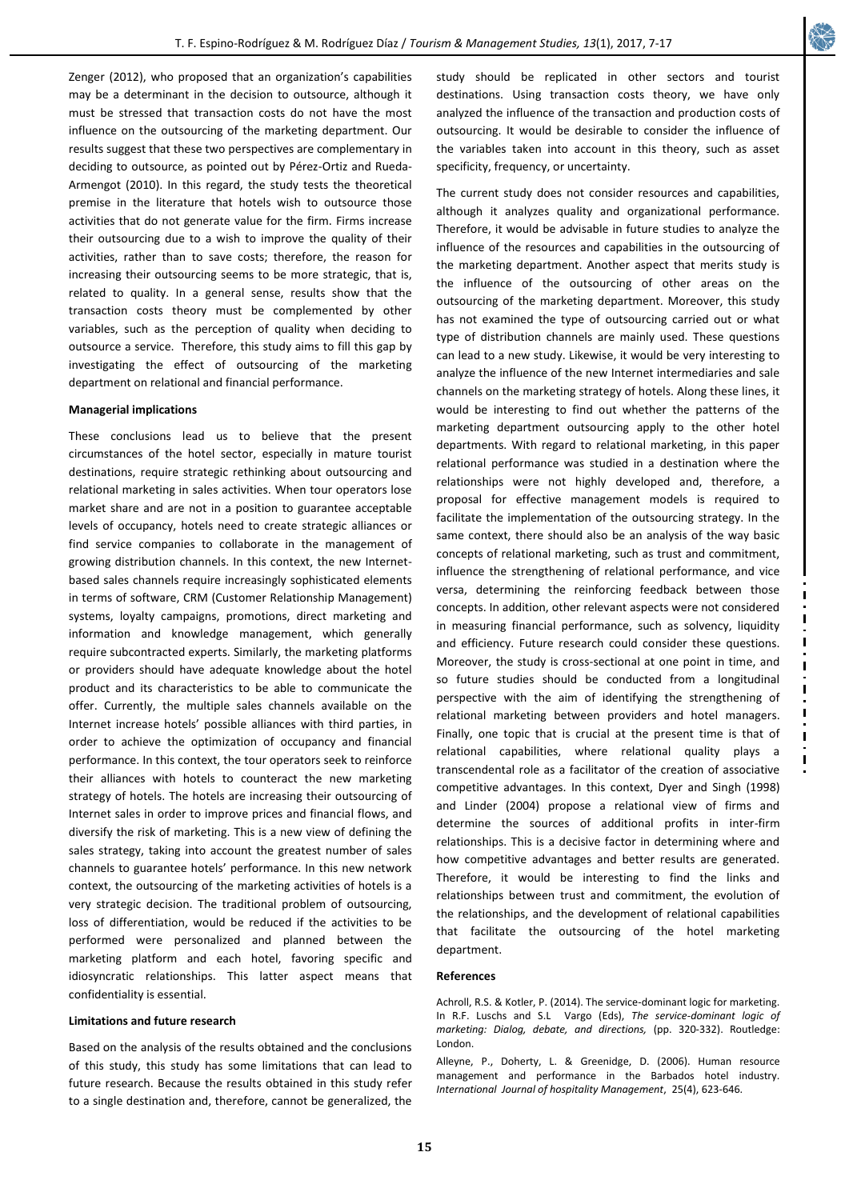Zenger (2012), who proposed that an organization's capabilities may be a determinant in the decision to outsource, although it must be stressed that transaction costs do not have the most influence on the outsourcing of the marketing department. Our results suggest that these two perspectives are complementary in deciding to outsource, as pointed out by Pérez-Ortiz and Rueda-Armengot (2010). In this regard, the study tests the theoretical premise in the literature that hotels wish to outsource those activities that do not generate value for the firm. Firms increase their outsourcing due to a wish to improve the quality of their activities, rather than to save costs; therefore, the reason for increasing their outsourcing seems to be more strategic, that is, related to quality. In a general sense, results show that the transaction costs theory must be complemented by other variables, such as the perception of quality when deciding to outsource a service. Therefore, this study aims to fill this gap by investigating the effect of outsourcing of the marketing department on relational and financial performance.

### **Managerial implications**

These conclusions lead us to believe that the present circumstances of the hotel sector, especially in mature tourist destinations, require strategic rethinking about outsourcing and relational marketing in sales activities. When tour operators lose market share and are not in a position to guarantee acceptable levels of occupancy, hotels need to create strategic alliances or find service companies to collaborate in the management of growing distribution channels. In this context, the new Internetbased sales channels require increasingly sophisticated elements in terms of software, CRM (Customer Relationship Management) systems, loyalty campaigns, promotions, direct marketing and information and knowledge management, which generally require subcontracted experts. Similarly, the marketing platforms or providers should have adequate knowledge about the hotel product and its characteristics to be able to communicate the offer. Currently, the multiple sales channels available on the Internet increase hotels' possible alliances with third parties, in order to achieve the optimization of occupancy and financial performance. In this context, the tour operators seek to reinforce their alliances with hotels to counteract the new marketing strategy of hotels. The hotels are increasing their outsourcing of Internet sales in order to improve prices and financial flows, and diversify the risk of marketing. This is a new view of defining the sales strategy, taking into account the greatest number of sales channels to guarantee hotels' performance. In this new network context, the outsourcing of the marketing activities of hotels is a very strategic decision. The traditional problem of outsourcing, loss of differentiation, would be reduced if the activities to be performed were personalized and planned between the marketing platform and each hotel, favoring specific and idiosyncratic relationships. This latter aspect means that confidentiality is essential.

# **Limitations and future research**

Based on the analysis of the results obtained and the conclusions of this study, this study has some limitations that can lead to future research. Because the results obtained in this study refer to a single destination and, therefore, cannot be generalized, the

study should be replicated in other sectors and tourist destinations. Using transaction costs theory, we have only analyzed the influence of the transaction and production costs of outsourcing. It would be desirable to consider the influence of the variables taken into account in this theory, such as asset specificity, frequency, or uncertainty.

The current study does not consider resources and capabilities, although it analyzes quality and organizational performance. Therefore, it would be advisable in future studies to analyze the influence of the resources and capabilities in the outsourcing of the marketing department. Another aspect that merits study is the influence of the outsourcing of other areas on the outsourcing of the marketing department. Moreover, this study has not examined the type of outsourcing carried out or what type of distribution channels are mainly used. These questions can lead to a new study. Likewise, it would be very interesting to analyze the influence of the new Internet intermediaries and sale channels on the marketing strategy of hotels. Along these lines, it would be interesting to find out whether the patterns of the marketing department outsourcing apply to the other hotel departments. With regard to relational marketing, in this paper relational performance was studied in a destination where the relationships were not highly developed and, therefore, a proposal for effective management models is required to facilitate the implementation of the outsourcing strategy. In the same context, there should also be an analysis of the way basic concepts of relational marketing, such as trust and commitment, influence the strengthening of relational performance, and vice versa, determining the reinforcing feedback between those concepts. In addition, other relevant aspects were not considered in measuring financial performance, such as solvency, liquidity and efficiency. Future research could consider these questions. Moreover, the study is cross-sectional at one point in time, and so future studies should be conducted from a longitudinal perspective with the aim of identifying the strengthening of relational marketing between providers and hotel managers. Finally, one topic that is crucial at the present time is that of relational capabilities, where relational quality plays a transcendental role as a facilitator of the creation of associative competitive advantages. In this context, Dyer and Singh (1998) and Linder (2004) propose a relational view of firms and determine the sources of additional profits in inter-firm relationships. This is a decisive factor in determining where and how competitive advantages and better results are generated. Therefore, it would be interesting to find the links and relationships between trust and commitment, the evolution of the relationships, and the development of relational capabilities that facilitate the outsourcing of the hotel marketing department.

# **References**

Achroll, R.S. & Kotler, P. (2014). The service-dominant logic for marketing. In R.F. Luschs and S.L Vargo (Eds), *The service-dominant logic of marketing: Dialog, debate, and directions,* (pp. 320-332). Routledge: London.

Alleyne, P., Doherty, L. & Greenidge, D. (2006). Human resource management and performance in the Barbados hotel industry. *International Journal of hospitality Management*, 25(4), 623-646.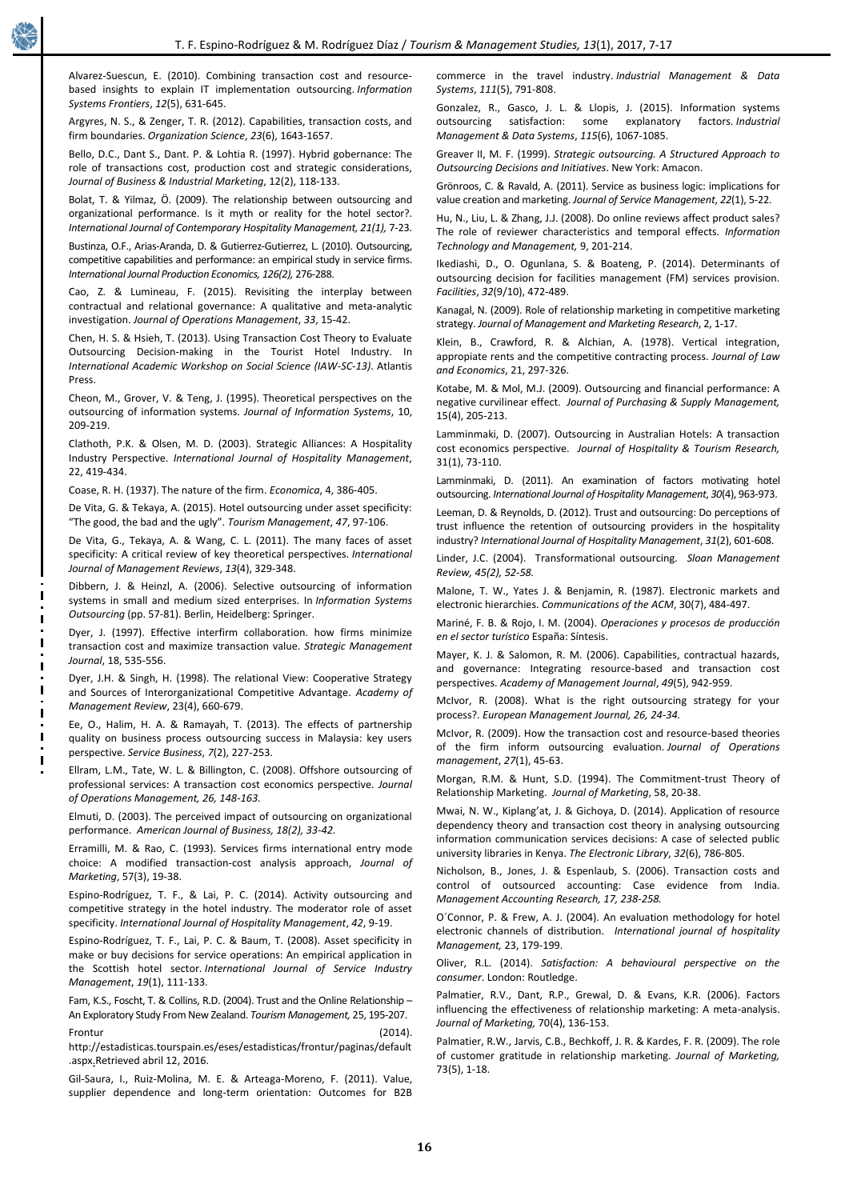Alvarez-Suescun, E. (2010). Combining transaction cost and resourcebased insights to explain IT implementation outsourcing. *Information Systems Frontiers*, *12*(5), 631-645.

Argyres, N. S., & Zenger, T. R. (2012). Capabilities, transaction costs, and firm boundaries. *Organization Science*, *23*(6), 1643-1657.

Bello, D.C., Dant S., Dant. P. & Lohtia R. (1997). Hybrid gobernance: The role of transactions cost, production cost and strategic considerations, *Journal of Business & Industrial Marketing*, 12(2), 118-133.

Bolat, T. & Yilmaz, Ö. (2009). The relationship between outsourcing and organizational performance. Is it myth or reality for the hotel sector?. *International Journal of Contemporary Hospitality Management, 21(1),* 7-23.

Bustinza, O.F., Arias-Aranda, D. & Gutierrez-Gutierrez, L. (2010). Outsourcing, competitive capabilities and performance: an empirical study in service firms. *International Journal Production Economics, 126(2),* 276-288.

Cao, Z. & Lumineau, F. (2015). Revisiting the interplay between contractual and relational governance: A qualitative and meta-analytic investigation. *Journal of Operations Management*, *33*, 15-42.

Chen, H. S. & Hsieh, T. (2013). Using Transaction Cost Theory to Evaluate Outsourcing Decision-making in the Tourist Hotel Industry. In *International Academic Workshop on Social Science (IAW-SC-13)*. Atlantis Press.

Cheon, M., Grover, V. & Teng, J. (1995). Theoretical perspectives on the outsourcing of information systems. *Journal of Information Systems*, 10, 209-219.

Clathoth, P.K. & Olsen, M. D. (2003). Strategic Alliances: A Hospitality Industry Perspective. *International Journal of Hospitality Management*, 22, 419-434.

Coase, R. H. (1937). The nature of the firm. *Economica*, 4, 386-405.

De Vita, G. & Tekaya, A. (2015). Hotel outsourcing under asset specificity: "The good, the bad and the ugly". *Tourism Management*, *47*, 97-106.

De Vita, G., Tekaya, A. & Wang, C. L. (2011). The many faces of asset specificity: A critical review of key theoretical perspectives. *International Journal of Management Reviews*, *13*(4), 329-348.

Dibbern, J. & Heinzl, A. (2006). Selective outsourcing of information systems in small and medium sized enterprises. In *Information Systems Outsourcing* (pp. 57-81). Berlin, Heidelberg: Springer.

Dyer, J. (1997). Effective interfirm collaboration. how firms minimize transaction cost and maximize transaction value. *Strategic Management Journal*, 18, 535-556.

Dyer, J.H. & Singh, H. (1998). The relational View: Cooperative Strategy and Sources of Interorganizational Competitive Advantage. *Academy of Management Review*, 23(4), 660-679.

Ee, O., Halim, H. A. & Ramayah, T. (2013). The effects of partnership quality on business process outsourcing success in Malaysia: key users perspective. *Service Business*, *7*(2), 227-253.

Ellram, L.M., Tate, W. L. & Billington, C. (2008). Offshore outsourcing of professional services: A transaction cost economics perspective. *Journal of Operations Management, 26, 148-163.*

Elmuti, D. (2003). The perceived impact of outsourcing on organizational performance. *American Journal of Business, 18(2), 33-42.*

Erramilli, M. & Rao, C. (1993). Services firms international entry mode choice: A modified transaction-cost analysis approach, *Journal of Marketing*, 57(3), 19-38.

Espino-Rodríguez, T. F., & Lai, P. C. (2014). Activity outsourcing and competitive strategy in the hotel industry. The moderator role of asset specificity. *International Journal of Hospitality Management*, *42*, 9-19.

Espino-Rodríguez, T. F., Lai, P. C. & Baum, T. (2008). Asset specificity in make or buy decisions for service operations: An empirical application in the Scottish hotel sector. *International Journal of Service Industry Management*, *19*(1), 111-133.

Fam, K.S., Foscht, T. & Collins, R.D. (2004). Trust and the Online Relationship – An Exploratory Study From New Zealand. *Tourism Management,* 25, 195-207.

Frontur (2014). http://estadisticas.tourspain.es/eses/estadisticas/frontur/paginas/default .aspx.Retrieved abril 12, 2016.

Gil-Saura, I., Ruiz-Molina, M. E. & Arteaga-Moreno, F. (2011). Value, supplier dependence and long-term orientation: Outcomes for B2B commerce in the travel industry. *Industrial Management & Data Systems*, *111*(5), 791-808.

Gonzalez, R., Gasco, J. L. & Llopis, J. (2015). Information systems outsourcing satisfaction: some explanatory factors. *Industrial Management & Data Systems*, *115*(6), 1067-1085.

Greaver II, M. F. (1999). *Strategic outsourcing. A Structured Approach to Outsourcing Decisions and Initiatives*. New York: Amacon.

Grönroos, C. & Ravald, A. (2011). Service as business logic: implications for value creation and marketing. *Journal of Service Management*, *22*(1), 5-22.

Hu, N., Liu, L. & Zhang, J.J. (2008). Do online reviews affect product sales? The role of reviewer characteristics and temporal effects. *Information Technology and Management,* 9, 201-214.

Ikediashi, D., O. Ogunlana, S. & Boateng, P. (2014). Determinants of outsourcing decision for facilities management (FM) services provision. *Facilities*, *32*(9/10), 472-489.

Kanagal, N. (2009). Role of relationship marketing in competitive marketing strategy. *Journal of Management and Marketing Research*, 2, 1-17.

Klein, B., Crawford, R. & Alchian, A. (1978). Vertical integration, appropiate rents and the competitive contracting process. *Journal of Law and Economics*, 21, 297-326.

Kotabe, M. & Mol, M.J. (2009). Outsourcing and financial performance: A negative curvilinear effect. *Journal of Purchasing & Supply Management,*  15(4), 205-213.

Lamminmaki, D. (2007). Outsourcing in Australian Hotels: A transaction cost economics perspective. *Journal of Hospitality & Tourism Research,*  31(1), 73-110.

Lamminmaki, D. (2011). An examination of factors motivating hotel outsourcing. *International Journal of Hospitality Management*, *30*(4), 963-973.

Leeman, D. & Reynolds, D. (2012). Trust and outsourcing: Do perceptions of trust influence the retention of outsourcing providers in the hospitality industry? *International Journal of Hospitality Management*, *31*(2), 601-608.

Linder, J.C. (2004). Transformational outsourcing*. Sloan Management Review, 45(2), 52-58.*

Malone, T. W., Yates J. & Benjamin, R. (1987). Electronic markets and electronic hierarchies. *Communications of the ACM*, 30(7), 484-497.

Mariné, F. B. & Rojo, I. M. (2004). *Operaciones y procesos de producción en el sector turístico* España: Síntesis.

Mayer, K. J. & Salomon, R. M. (2006). Capabilities, contractual hazards, and governance: Integrating resource-based and transaction cost perspectives. *Academy of Management Journal*, *49*(5), 942-959.

McIvor, R. (2008). What is the right outsourcing strategy for your process?. *European Management Journal, 26, 24-34.*

McIvor, R. (2009). How the transaction cost and resource-based theories of the firm inform outsourcing evaluation. *Journal of Operations management*, *27*(1), 45-63.

Morgan, R.M. & Hunt, S.D. (1994). The Commitment-trust Theory of Relationship Marketing. *Journal of Marketing*, 58, 20-38.

Mwai, N. W., Kiplang'at, J. & Gichoya, D. (2014). Application of resource dependency theory and transaction cost theory in analysing outsourcing information communication services decisions: A case of selected public university libraries in Kenya. *The Electronic Library*, *32*(6), 786-805.

Nicholson, B., Jones, J. & Espenlaub, S. (2006). Transaction costs and control of outsourced accounting: Case evidence from India. *Management Accounting Research, 17, 238-258.*

O´Connor, P. & Frew, A. J. (2004). An evaluation methodology for hotel electronic channels of distribution. *International journal of hospitality Management,* 23, 179-199.

Oliver, R.L. (2014). *Satisfaction: A behavioural perspective on the consumer*. London: Routledge.

Palmatier, R.V., Dant, R.P., Grewal, D. & Evans, K.R. (2006). Factors influencing the effectiveness of relationship marketing: A meta-analysis. *Journal of Marketing,* 70(4), 136-153.

Palmatier, R.W., Jarvis, C.B., Bechkoff, J. R. & Kardes, F. R. (2009). The role of customer gratitude in relationship marketing. *Journal of Marketing,* 73(5), 1-18.